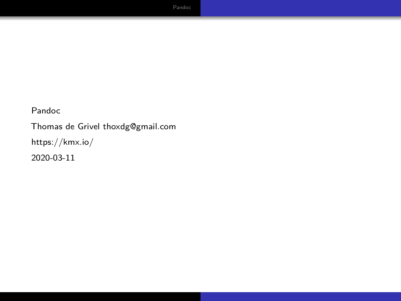Thomas de Grivel [thoxdg@gmail.com](mailto:thoxdg@gmail.com) <https://kmx.io/> 2020-03-11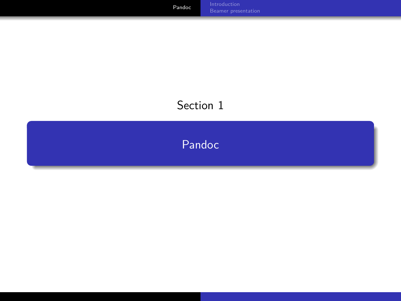# <span id="page-1-0"></span>Section 1

[Pandoc](#page-1-0)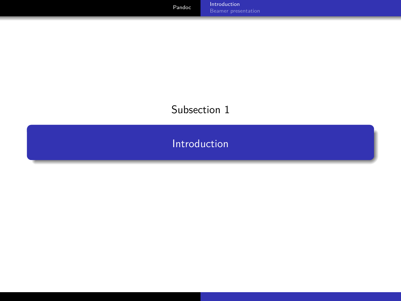## <span id="page-2-0"></span>Subsection 1

[Introduction](#page-2-0)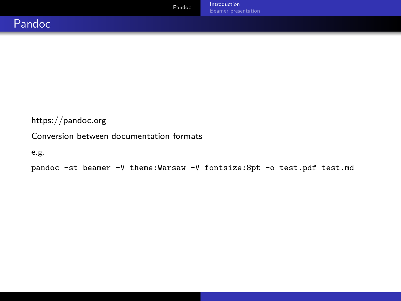#### <https://pandoc.org>

#### Conversion between documentation formats

```
e.g.
```
pandoc -st beamer -V theme:Warsaw -V fontsize:8pt -o test.pdf test.md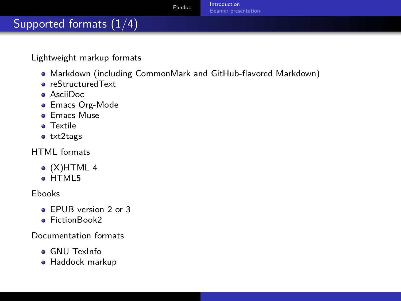## Supported formats (1/4)

Lightweight markup formats

- Markdown (including CommonMark and GitHub-flavored Markdown)
- reStructuredText
- AsciiDoc
- Emacs Org-Mode
- **e** Emacs Muse
- **a** Textile
- txt2tags

HTML formats

- $\bullet$  (X)HTML 4
- e HTML5

Ebooks

- **e** FPUB version 2 or 3
- **•** FictionBook2

Documentation formats

- GNU TexInfo
- Haddock markup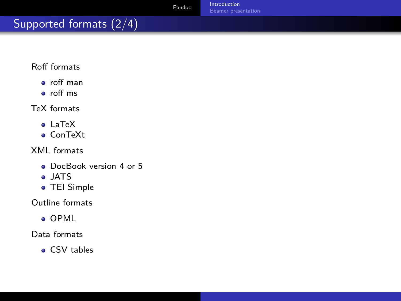# Supported formats (2/4)

#### Roff formats

- roff man
- roff ms

#### TeX formats

- LaTeX
- ConTeXt

XML formats

- DocBook version 4 or 5
- JATS
- TEI Simple

Outline formats

OPML

Data formats

CSV tables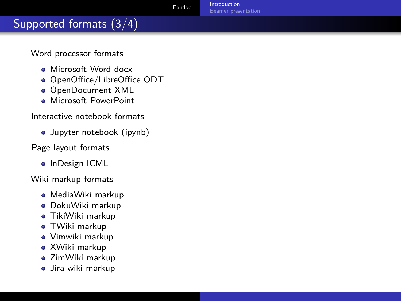## Supported formats (3/4)

Word processor formats

- **A** Microsoft Word docx
- OpenOffice/LibreOffice ODT
- OpenDocument XML
- **Microsoft PowerPoint**

#### Interactive notebook formats

Jupyter notebook (ipynb)

#### Page layout formats

• InDesign ICML

Wiki markup formats

- MediaWiki markup
- DokuWiki markup
- TikiWiki markup
- TWiki markup
- Vimwiki markup
- XWiki markup
- ZimWiki markup
- Jira wiki markup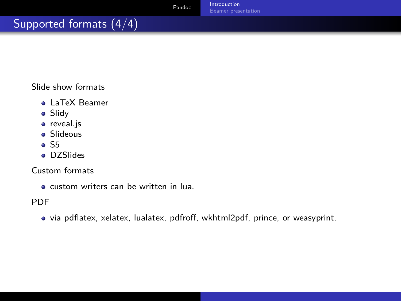# Supported formats (4/4)

Slide show formats

- LaTeX Beamer
- Slidy
- **•** reveal.js
- **•** Slideous
- $\bullet$  S5
- **•** DZSlides

Custom formats

custom writers can be written in lua.

PDF

via pdflatex, xelatex, lualatex, pdfroff, wkhtml2pdf, prince, or weasyprint.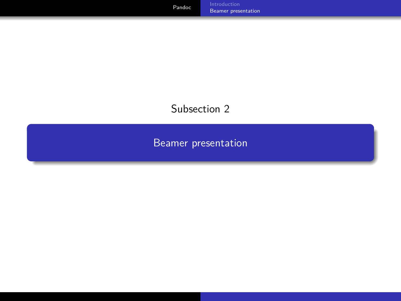## <span id="page-8-0"></span>Subsection 2

[Beamer presentation](#page-8-0)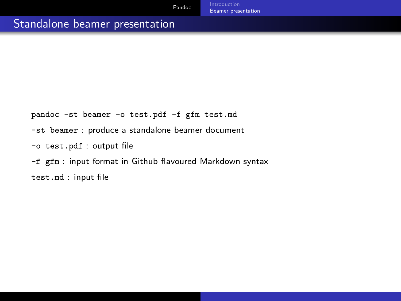## Standalone beamer presentation

pandoc -st beamer -o test.pdf -f gfm test.md

-st beamer : produce a standalone beamer document

-o test.pdf : output file

-f gfm : input format in Github flavoured Markdown syntax test.md : input file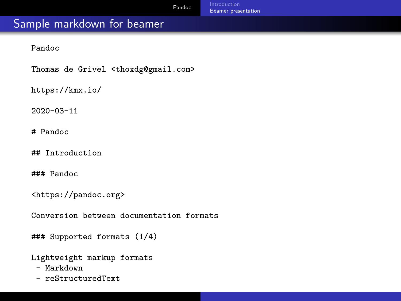#### Sample markdown for beamer

Pandoc

Thomas de Grivel <thoxdg@gmail.com>

https://kmx.io/

2020-03-11

# Pandoc

## Introduction

### Pandoc

<https://pandoc.org>

Conversion between documentation formats

### Supported formats (1/4)

Lightweight markup formats

- Markdown
- reStructuredText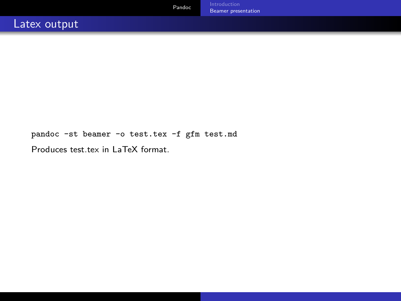pandoc -st beamer -o test.tex -f gfm test.md

Produces test.tex in LaTeX format.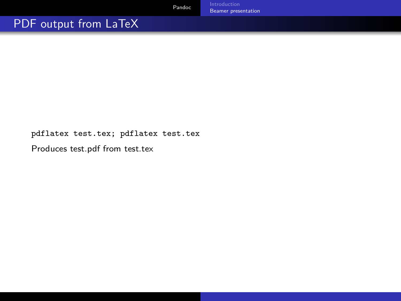## PDF output from LaTeX

pdflatex test.tex; pdflatex test.tex

Produces test.pdf from test.tex